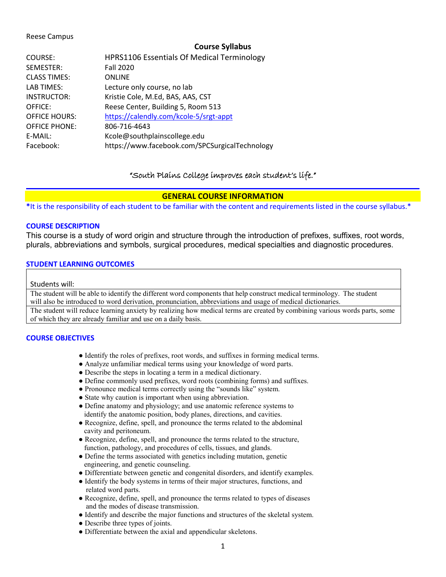#### Reese Campus

#### **Course Syllabus**

| COURSE:              | HPRS1106 Essentials Of Medical Terminology     |
|----------------------|------------------------------------------------|
| SEMESTER:            | <b>Fall 2020</b>                               |
| <b>CLASS TIMES:</b>  | <b>ONLINE</b>                                  |
| LAB TIMES:           | Lecture only course, no lab                    |
| <b>INSTRUCTOR:</b>   | Kristie Cole, M.Ed, BAS, AAS, CST              |
| OFFICE:              | Reese Center, Building 5, Room 513             |
| <b>OFFICE HOURS:</b> | https://calendly.com/kcole-5/srgt-appt         |
| <b>OFFICE PHONE:</b> | 806-716-4643                                   |
| E-MAIL:              | Kcole@southplainscollege.edu                   |
| Facebook:            | https://www.facebook.com/SPCSurgicalTechnology |

### "South Plains College improves each student's life."

#### **GENERAL COURSE INFORMATION**

**\***It is the responsibility of each student to be familiar with the content and requirements listed in the course syllabus.\*

#### **COURSE DESCRIPTION**

This course is a study of word origin and structure through the introduction of prefixes, suffixes, root words, plurals, abbreviations and symbols, surgical procedures, medical specialties and diagnostic procedures.

#### **STUDENT LEARNING OUTCOMES**

#### Students will:

The student will be able to identify the different word components that help construct medical terminology. The student will also be introduced to word derivation, pronunciation, abbreviations and usage of medical dictionaries. The student will reduce learning anxiety by realizing how medical terms are created by combining various words parts, some

of which they are already familiar and use on a daily basis.

#### **COURSE OBJECTIVES**

- Identify the roles of prefixes, root words, and suffixes in forming medical terms.
- Analyze unfamiliar medical terms using your knowledge of word parts.
- Describe the steps in locating a term in a medical dictionary.
- Define commonly used prefixes, word roots (combining forms) and suffixes.
- Pronounce medical terms correctly using the "sounds like" system.
- State why caution is important when using abbreviation.
- Define anatomy and physiology; and use anatomic reference systems to identify the anatomic position, body planes, directions, and cavities.
- Recognize, define, spell, and pronounce the terms related to the abdominal cavity and peritoneum.
- Recognize, define, spell, and pronounce the terms related to the structure, function, pathology, and procedures of cells, tissues, and glands.
- Define the terms associated with genetics including mutation, genetic engineering, and genetic counseling.
- Differentiate between genetic and congenital disorders, and identify examples.
- Identify the body systems in terms of their major structures, functions, and related word parts.
- Recognize, define, spell, and pronounce the terms related to types of diseases and the modes of disease transmission.
- Identify and describe the major functions and structures of the skeletal system.
- Describe three types of joints.
- Differentiate between the axial and appendicular skeletons.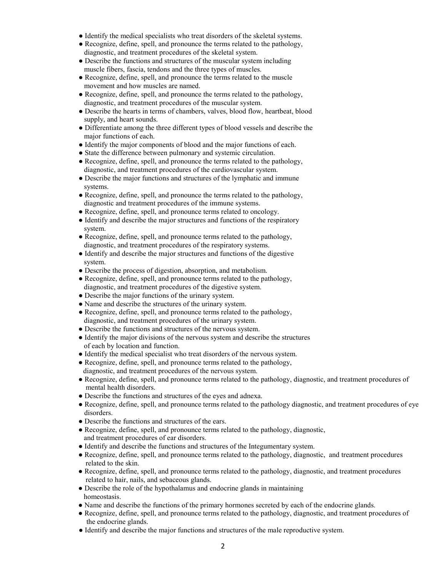- Identify the medical specialists who treat disorders of the skeletal systems.
- Recognize, define, spell, and pronounce the terms related to the pathology, diagnostic, and treatment procedures of the skeletal system.
- Describe the functions and structures of the muscular system including muscle fibers, fascia, tendons and the three types of muscles.
- Recognize, define, spell, and pronounce the terms related to the muscle movement and how muscles are named.
- Recognize, define, spell, and pronounce the terms related to the pathology, diagnostic, and treatment procedures of the muscular system.
- Describe the hearts in terms of chambers, valves, blood flow, heartbeat, blood supply, and heart sounds.
- Differentiate among the three different types of blood vessels and describe the major functions of each.
- Identify the major components of blood and the major functions of each.
- State the difference between pulmonary and systemic circulation.
- Recognize, define, spell, and pronounce the terms related to the pathology, diagnostic, and treatment procedures of the cardiovascular system.
- Describe the major functions and structures of the lymphatic and immune systems.
- Recognize, define, spell, and pronounce the terms related to the pathology, diagnostic and treatment procedures of the immune systems.
- Recognize, define, spell, and pronounce terms related to oncology.
- Identify and describe the major structures and functions of the respiratory system.
- Recognize, define, spell, and pronounce terms related to the pathology, diagnostic, and treatment procedures of the respiratory systems.
- Identify and describe the major structures and functions of the digestive system.
- Describe the process of digestion, absorption, and metabolism.
- Recognize, define, spell, and pronounce terms related to the pathology, diagnostic, and treatment procedures of the digestive system.
- Describe the major functions of the urinary system.
- Name and describe the structures of the urinary system.
- Recognize, define, spell, and pronounce terms related to the pathology, diagnostic, and treatment procedures of the urinary system.
- Describe the functions and structures of the nervous system.
- Identify the major divisions of the nervous system and describe the structures of each by location and function.
- Identify the medical specialist who treat disorders of the nervous system.
- Recognize, define, spell, and pronounce terms related to the pathology, diagnostic, and treatment procedures of the nervous system.
- Recognize, define, spell, and pronounce terms related to the pathology, diagnostic, and treatment procedures of mental health disorders.
- Describe the functions and structures of the eyes and adnexa.
- Recognize, define, spell, and pronounce terms related to the pathology diagnostic, and treatment procedures of eye disorders.
- Describe the functions and structures of the ears.
- Recognize, define, spell, and pronounce terms related to the pathology, diagnostic, and treatment procedures of ear disorders.
- Identify and describe the functions and structures of the Integumentary system.
- Recognize, define, spell, and pronounce terms related to the pathology, diagnostic, and treatment procedures related to the skin.
- Recognize, define, spell, and pronounce terms related to the pathology, diagnostic, and treatment procedures related to hair, nails, and sebaceous glands.
- Describe the role of the hypothalamus and endocrine glands in maintaining homeostasis.
- Name and describe the functions of the primary hormones secreted by each of the endocrine glands.
- Recognize, define, spell, and pronounce terms related to the pathology, diagnostic, and treatment procedures of the endocrine glands.
- Identify and describe the major functions and structures of the male reproductive system.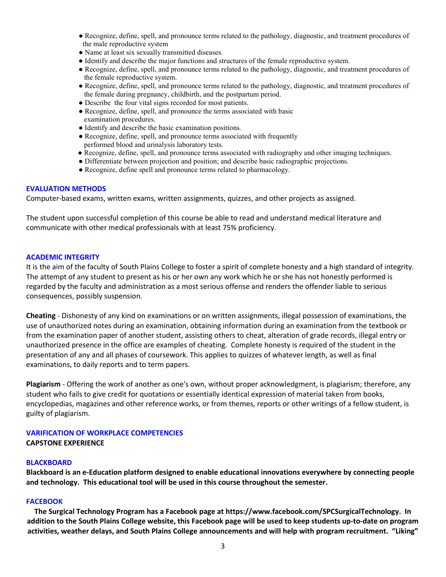- Recognize, define, spell, and pronounce terms related to the pathology, diagnostic, and treatment procedures of the male reproductive system
- Name at least six sexually transmitted diseases.
- Identify and describe the major functions and structures of the female reproductive system.
- Recognize, define, spell, and pronounce terms related to the pathology, diagnostic, and treatment procedures of the female reproductive system.
- Recognize, define, spell, and pronounce terms related to the pathology, diagnostic, and treatment procedures of the female during pregnancy, childbirth, and the postpartum period.
- Describe the four vital signs recorded for most patients.
- Recognize, define, spell, and pronounce the terms associated with basic examination procedures.
- Identify and describe the basic examination positions.
- Recognize, define, spell, and pronounce terms associated with frequently performed blood and urinalysis laboratory tests.
- Recognize, define, spell, and pronounce terms associated with radiography and other imaging techniques.
- Differentiate between projection and position; and describe basic radiographic projections.
- Recognize, define spell and pronounce terms related to pharmacology.

#### **EVALUATION METHODS**

Computer-based exams, written exams, written assignments, quizzes, and other projects as assigned.

The student upon successful completion of this course be able to read and understand medical literature and communicate with other medical professionals with at least 75% proficiency.

#### **ACADEMIC INTEGRITY**

It is the aim of the faculty of South Plains College to foster a spirit of complete honesty and a high standard of integrity. The attempt of any student to present as his or her own any work which he or she has not honestly performed is regarded by the faculty and administration as a most serious offense and renders the offender liable to serious consequences, possibly suspension.

**Cheating** - Dishonesty of any kind on examinations or on written assignments, illegal possession of examinations, the use of unauthorized notes during an examination, obtaining information during an examination from the textbook or from the examination paper of another student, assisting others to cheat, alteration of grade records, illegal entry or unauthorized presence in the office are examples of cheating. Complete honesty is required of the student in the presentation of any and all phases of coursework. This applies to quizzes of whatever length, as well as final examinations, to daily reports and to term papers.

**Plagiarism** - Offering the work of another as one's own, without proper acknowledgment, is plagiarism; therefore, any student who fails to give credit for quotations or essentially identical expression of material taken from books, encyclopedias, magazines and other reference works, or from themes, reports or other writings of a fellow student, is guilty of plagiarism.

### **VARIFICATION OF WORKPLACE COMPETENCIES CAPSTONE EXPERIENCE**

#### **BLACKBOARD**

**Blackboard is an e-Education platform designed to enable educational innovations everywhere by connecting people and technology. This educational tool will be used in this course throughout the semester.** 

#### **FACEBOOK**

**The Surgical Technology Program has a Facebook page at https://www.facebook.com/SPCSurgicalTechnology. In addition to the South Plains College website, this Facebook page will be used to keep students up-to-date on program activities, weather delays, and South Plains College announcements and will help with program recruitment. "Liking"**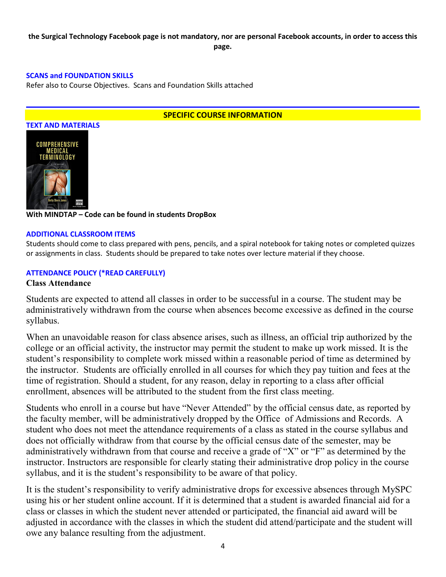### **the Surgical Technology Facebook page is not mandatory, nor are personal Facebook accounts, in order to access this page.**

### **SCANS and FOUNDATION SKILLS**

Refer also to Course Objectives. Scans and Foundation Skills attached

### **SPECIFIC COURSE INFORMATION**



### **With MINDTAP – Code can be found in students DropBox**

#### **ADDITIONAL CLASSROOM ITEMS**

Students should come to class prepared with pens, pencils, and a spiral notebook for taking notes or completed quizzes or assignments in class. Students should be prepared to take notes over lecture material if they choose.

### **ATTENDANCE POLICY (\*READ CAREFULLY)**

### **Class Attendance**

Students are expected to attend all classes in order to be successful in a course. The student may be administratively withdrawn from the course when absences become excessive as defined in the course syllabus.

When an unavoidable reason for class absence arises, such as illness, an official trip authorized by the college or an official activity, the instructor may permit the student to make up work missed. It is the student's responsibility to complete work missed within a reasonable period of time as determined by the instructor. Students are officially enrolled in all courses for which they pay tuition and fees at the time of registration. Should a student, for any reason, delay in reporting to a class after official enrollment, absences will be attributed to the student from the first class meeting.

Students who enroll in a course but have "Never Attended" by the official census date, as reported by the faculty member, will be administratively dropped by the Office of Admissions and Records. A student who does not meet the attendance requirements of a class as stated in the course syllabus and does not officially withdraw from that course by the official census date of the semester, may be administratively withdrawn from that course and receive a grade of "X" or "F" as determined by the instructor. Instructors are responsible for clearly stating their administrative drop policy in the course syllabus, and it is the student's responsibility to be aware of that policy.

It is the student's responsibility to verify administrative drops for excessive absences through MySPC using his or her student online account. If it is determined that a student is awarded financial aid for a class or classes in which the student never attended or participated, the financial aid award will be adjusted in accordance with the classes in which the student did attend/participate and the student will owe any balance resulting from the adjustment.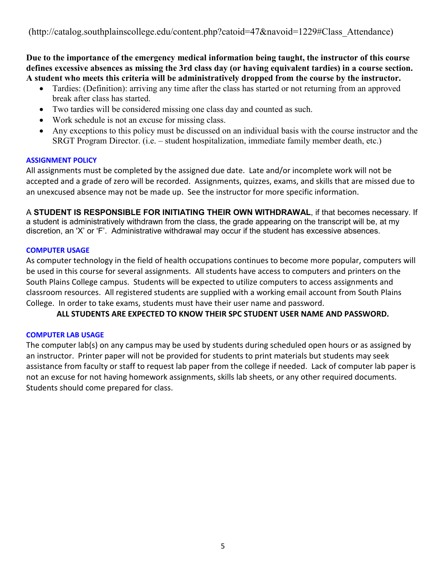**Due to the importance of the emergency medical information being taught, the instructor of this course defines excessive absences as missing the 3rd class day (or having equivalent tardies) in a course section. A student who meets this criteria will be administratively dropped from the course by the instructor.** 

- Tardies: (Definition): arriving any time after the class has started or not returning from an approved break after class has started.
- Two tardies will be considered missing one class day and counted as such.
- Work schedule is not an excuse for missing class.
- Any exceptions to this policy must be discussed on an individual basis with the course instructor and the SRGT Program Director. (i.e. – student hospitalization, immediate family member death, etc.)

### **ASSIGNMENT POLICY**

All assignments must be completed by the assigned due date. Late and/or incomplete work will not be accepted and a grade of zero will be recorded. Assignments, quizzes, exams, and skills that are missed due to an unexcused absence may not be made up. See the instructor for more specific information.

A **STUDENT IS RESPONSIBLE FOR INITIATING THEIR OWN WITHDRAWAL**, if that becomes necessary. If a student is administratively withdrawn from the class, the grade appearing on the transcript will be, at my discretion, an 'X' or 'F'. Administrative withdrawal may occur if the student has excessive absences.

### **COMPUTER USAGE**

As computer technology in the field of health occupations continues to become more popular, computers will be used in this course for several assignments. All students have access to computers and printers on the South Plains College campus. Students will be expected to utilize computers to access assignments and classroom resources. All registered students are supplied with a working email account from South Plains College. In order to take exams, students must have their user name and password.

**ALL STUDENTS ARE EXPECTED TO KNOW THEIR SPC STUDENT USER NAME AND PASSWORD.**

# **COMPUTER LAB USAGE**

The computer lab(s) on any campus may be used by students during scheduled open hours or as assigned by an instructor. Printer paper will not be provided for students to print materials but students may seek assistance from faculty or staff to request lab paper from the college if needed. Lack of computer lab paper is not an excuse for not having homework assignments, skills lab sheets, or any other required documents. Students should come prepared for class.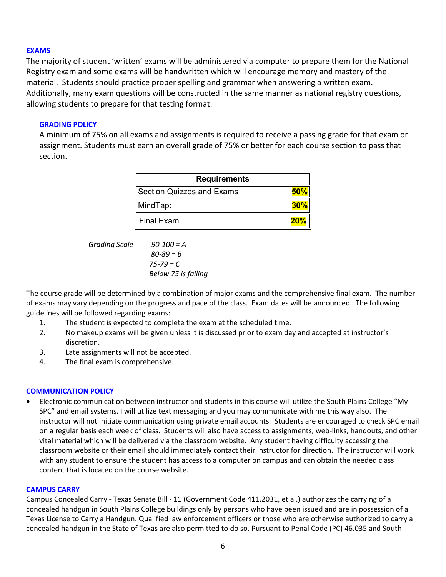### **EXAMS**

The majority of student 'written' exams will be administered via computer to prepare them for the National Registry exam and some exams will be handwritten which will encourage memory and mastery of the material. Students should practice proper spelling and grammar when answering a written exam. Additionally, many exam questions will be constructed in the same manner as national registry questions, allowing students to prepare for that testing format.

### **GRADING POLICY**

A minimum of 75% on all exams and assignments is required to receive a passing grade for that exam or assignment. Students must earn an overall grade of 75% or better for each course section to pass that section.

| <b>Requirements</b>       |        |
|---------------------------|--------|
| Section Quizzes and Exams | 50%    |
| MindTap:                  | $30\%$ |
| <b>Final Exam</b>         | 20%    |

*Grading Scale 90-100 = A*

 *80-89 = B 75-79 = C Below 75 is failing*

The course grade will be determined by a combination of major exams and the comprehensive final exam. The number of exams may vary depending on the progress and pace of the class. Exam dates will be announced. The following guidelines will be followed regarding exams:

- 1. The student is expected to complete the exam at the scheduled time.
- 2. No makeup exams will be given unless it is discussed prior to exam day and accepted at instructor's discretion.
- 3. Late assignments will not be accepted.
- 4. The final exam is comprehensive.

### **COMMUNICATION POLICY**

• Electronic communication between instructor and students in this course will utilize the South Plains College "My SPC" and email systems. I will utilize text messaging and you may communicate with me this way also. The instructor will not initiate communication using private email accounts. Students are encouraged to check SPC email on a regular basis each week of class. Students will also have access to assignments, web-links, handouts, and other vital material which will be delivered via the classroom website. Any student having difficulty accessing the classroom website or their email should immediately contact their instructor for direction. The instructor will work with any student to ensure the student has access to a computer on campus and can obtain the needed class content that is located on the course website.

### **CAMPUS CARRY**

Campus Concealed Carry - Texas Senate Bill - 11 (Government Code 411.2031, et al.) authorizes the carrying of a concealed handgun in South Plains College buildings only by persons who have been issued and are in possession of a Texas License to Carry a Handgun. Qualified law enforcement officers or those who are otherwise authorized to carry a concealed handgun in the State of Texas are also permitted to do so. Pursuant to Penal Code (PC) 46.035 and South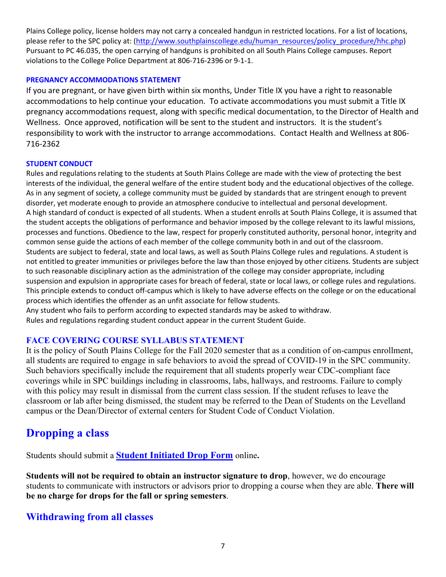Plains College policy, license holders may not carry a concealed handgun in restricted locations. For a list of locations, please refer to the SPC policy at: [\(http://www.southplainscollege.edu/human\\_resources/policy\\_procedure/hhc.php\)](http://www.southplainscollege.edu/human_resources/policy_procedure/hhc.php) Pursuant to PC 46.035, the open carrying of handguns is prohibited on all South Plains College campuses. Report violations to the College Police Department at 806-716-2396 or 9-1-1.

### **PREGNANCY ACCOMMODATIONS STATEMENT**

If you are pregnant, or have given birth within six months, Under Title IX you have a right to reasonable accommodations to help continue your education. To activate accommodations you must submit a Title IX pregnancy accommodations request, along with specific medical documentation, to the Director of Health and Wellness. Once approved, notification will be sent to the student and instructors. It is the student's responsibility to work with the instructor to arrange accommodations. Contact Health and Wellness at 806- 716-2362

### **STUDENT CONDUCT**

Rules and regulations relating to the students at South Plains College are made with the view of protecting the best interests of the individual, the general welfare of the entire student body and the educational objectives of the college. As in any segment of society, a college community must be guided by standards that are stringent enough to prevent disorder, yet moderate enough to provide an atmosphere conducive to intellectual and personal development. A high standard of conduct is expected of all students. When a student enrolls at South Plains College, it is assumed that the student accepts the obligations of performance and behavior imposed by the college relevant to its lawful missions, processes and functions. Obedience to the law, respect for properly constituted authority, personal honor, integrity and common sense guide the actions of each member of the college community both in and out of the classroom. Students are subject to federal, state and local laws, as well as South Plains College rules and regulations. A student is not entitled to greater immunities or privileges before the law than those enjoyed by other citizens. Students are subject to such reasonable disciplinary action as the administration of the college may consider appropriate, including suspension and expulsion in appropriate cases for breach of federal, state or local laws, or college rules and regulations. This principle extends to conduct off-campus which is likely to have adverse effects on the college or on the educational process which identifies the offender as an unfit associate for fellow students. Any student who fails to perform according to expected standards may be asked to withdraw.

Rules and regulations regarding student conduct appear in the current Student Guide.

### **FACE COVERING COURSE SYLLABUS STATEMENT**

It is the policy of South Plains College for the Fall 2020 semester that as a condition of on-campus enrollment, all students are required to engage in safe behaviors to avoid the spread of COVID-19 in the SPC community. Such behaviors specifically include the requirement that all students properly wear CDC-compliant face coverings while in SPC buildings including in classrooms, labs, hallways, and restrooms. Failure to comply with this policy may result in dismissal from the current class session. If the student refuses to leave the classroom or lab after being dismissed, the student may be referred to the Dean of Students on the Levelland campus or the Dean/Director of external centers for Student Code of Conduct Violation.

# **Dropping a class**

Students should submit a **Student [Initiated](https://forms.office.com/Pages/ResponsePage.aspx?id=ZrGRbWrP6UWeIqAmJdCCqRkmPIpp6AVCixFJfcqITt9UODExTUFXS0JOODhJOTlYM0NEV1kzRk9GMS4u) Drop Form** online**.**

**Students will not be required to obtain an instructor signature to drop**, however, we do encourage students to communicate with instructors or advisors prior to dropping a course when they are able. **There will be no charge for drops for the fall or spring semesters**.

# **Withdrawing from all classes**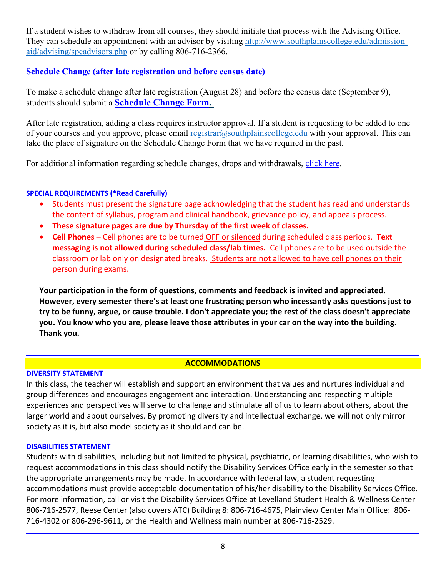If a student wishes to withdraw from all courses, they should initiate that process with the Advising Office. They can schedule an appointment with an advisor by visiting [http://www.southplainscollege.edu/admission](http://www.southplainscollege.edu/admission-aid/advising/spcadvisors.php)[aid/advising/spcadvisors.php](http://www.southplainscollege.edu/admission-aid/advising/spcadvisors.php) or by calling 806-716-2366.

# **Schedule Change (after late registration and before census date)**

To make a schedule change after late registration (August 28) and before the census date (September 9), students should submit a **[Schedule](https://forms.office.com/Pages/ResponsePage.aspx?id=ZrGRbWrP6UWeIqAmJdCCqRkmPIpp6AVCixFJfcqITt9UODIyTkRZSkFHVDNSVFRFV0g0T0tVWVAwRi4u) Change Form.**

After late registration, adding a class requires instructor approval. If a student is requesting to be added to one of your courses and you approve, please email [registrar@southplainscollege.edu](mailto:registrar@southplainscollege.edu) with your approval. This can take the place of signature on the Schedule Change Form that we have required in the past.

For additional information regarding schedule changes, drops and withdrawals, [click](http://www.southplainscollege.edu/admission-aid/apply/schedulechanges.php) here.

# **SPECIAL REQUIREMENTS (\*Read Carefully)**

- Students must present the signature page acknowledging that the student has read and understands the content of syllabus, program and clinical handbook, grievance policy, and appeals process.
- **These signature pages are due by Thursday of the first week of classes.**
- **Cell Phones** Cell phones are to be turned OFF or silenced during scheduled class periods. **Text messaging is not allowed during scheduled class/lab times.** Cell phones are to be used outside the classroom or lab only on designated breaks. Students are not allowed to have cell phones on their person during exams.

**Your participation in the form of questions, comments and feedback is invited and appreciated. However, every semester there's at least one frustrating person who incessantly asks questions just to try to be funny, argue, or cause trouble. I don't appreciate you; the rest of the class doesn't appreciate you. You know who you are, please leave those attributes in your car on the way into the building. Thank you.** 

# **ACCOMMODATIONS**

### **DIVERSITY STATEMENT**

In this class, the teacher will establish and support an environment that values and nurtures individual and group differences and encourages engagement and interaction. Understanding and respecting multiple experiences and perspectives will serve to challenge and stimulate all of us to learn about others, about the larger world and about ourselves. By promoting diversity and intellectual exchange, we will not only mirror society as it is, but also model society as it should and can be.

### **DISABILITIES STATEMENT**

Students with disabilities, including but not limited to physical, psychiatric, or learning disabilities, who wish to request accommodations in this class should notify the Disability Services Office early in the semester so that the appropriate arrangements may be made. In accordance with federal law, a student requesting accommodations must provide acceptable documentation of his/her disability to the Disability Services Office. For more information, call or visit the Disability Services Office at Levelland Student Health & Wellness Center 806-716-2577, Reese Center (also covers ATC) Building 8: 806-716-4675, Plainview Center Main Office: 806- 716-4302 or 806-296-9611, or the Health and Wellness main number at 806-716-2529.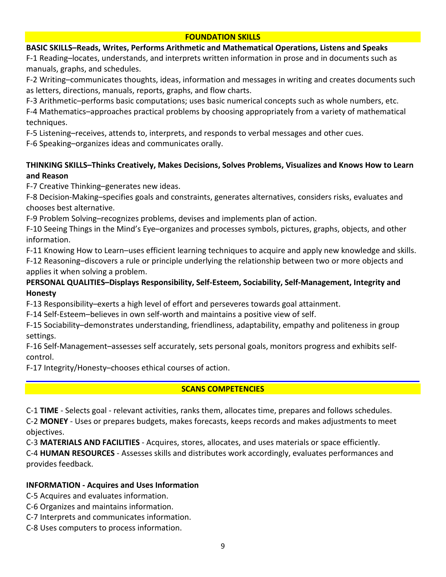### **FOUNDATION SKILLS**

### **BASIC SKILLS–Reads, Writes, Performs Arithmetic and Mathematical Operations, Listens and Speaks**

F-1 Reading–locates, understands, and interprets written information in prose and in documents such as manuals, graphs, and schedules.

F-2 Writing–communicates thoughts, ideas, information and messages in writing and creates documents such as letters, directions, manuals, reports, graphs, and flow charts.

F-3 Arithmetic–performs basic computations; uses basic numerical concepts such as whole numbers, etc.

F-4 Mathematics–approaches practical problems by choosing appropriately from a variety of mathematical techniques.

F-5 Listening–receives, attends to, interprets, and responds to verbal messages and other cues.

F-6 Speaking–organizes ideas and communicates orally.

# **THINKING SKILLS–Thinks Creatively, Makes Decisions, Solves Problems, Visualizes and Knows How to Learn and Reason**

F-7 Creative Thinking–generates new ideas.

F-8 Decision-Making–specifies goals and constraints, generates alternatives, considers risks, evaluates and chooses best alternative.

F-9 Problem Solving–recognizes problems, devises and implements plan of action.

F-10 Seeing Things in the Mind's Eye–organizes and processes symbols, pictures, graphs, objects, and other information.

F-11 Knowing How to Learn–uses efficient learning techniques to acquire and apply new knowledge and skills.

F-12 Reasoning–discovers a rule or principle underlying the relationship between two or more objects and applies it when solving a problem.

# **PERSONAL QUALITIES–Displays Responsibility, Self-Esteem, Sociability, Self-Management, Integrity and Honesty**

F-13 Responsibility–exerts a high level of effort and perseveres towards goal attainment.

F-14 Self-Esteem–believes in own self-worth and maintains a positive view of self.

F-15 Sociability–demonstrates understanding, friendliness, adaptability, empathy and politeness in group settings.

F-16 Self-Management–assesses self accurately, sets personal goals, monitors progress and exhibits selfcontrol.

F-17 Integrity/Honesty–chooses ethical courses of action.

# **SCANS COMPETENCIES**

C-1 **TIME** - Selects goal - relevant activities, ranks them, allocates time, prepares and follows schedules.

C-2 **MONEY** - Uses or prepares budgets, makes forecasts, keeps records and makes adjustments to meet objectives.

C-3 **MATERIALS AND FACILITIES** - Acquires, stores, allocates, and uses materials or space efficiently.

C-4 **HUMAN RESOURCES** - Assesses skills and distributes work accordingly, evaluates performances and provides feedback.

# **INFORMATION - Acquires and Uses Information**

C-5 Acquires and evaluates information.

- C-6 Organizes and maintains information.
- C-7 Interprets and communicates information.
- C-8 Uses computers to process information.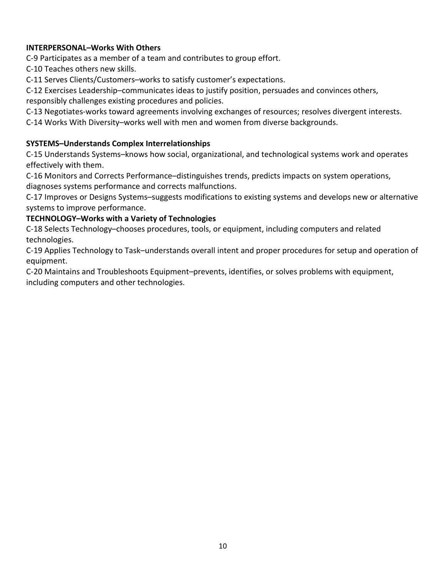# **INTERPERSONAL–Works With Others**

C-9 Participates as a member of a team and contributes to group effort.

C-10 Teaches others new skills.

C-11 Serves Clients/Customers–works to satisfy customer's expectations.

C-12 Exercises Leadership–communicates ideas to justify position, persuades and convinces others, responsibly challenges existing procedures and policies.

C-13 Negotiates-works toward agreements involving exchanges of resources; resolves divergent interests.

C-14 Works With Diversity–works well with men and women from diverse backgrounds.

# **SYSTEMS–Understands Complex Interrelationships**

C-15 Understands Systems–knows how social, organizational, and technological systems work and operates effectively with them.

C-16 Monitors and Corrects Performance–distinguishes trends, predicts impacts on system operations, diagnoses systems performance and corrects malfunctions.

C-17 Improves or Designs Systems–suggests modifications to existing systems and develops new or alternative systems to improve performance.

# **TECHNOLOGY–Works with a Variety of Technologies**

C-18 Selects Technology–chooses procedures, tools, or equipment, including computers and related technologies.

C-19 Applies Technology to Task–understands overall intent and proper procedures for setup and operation of equipment.

C-20 Maintains and Troubleshoots Equipment–prevents, identifies, or solves problems with equipment, including computers and other technologies.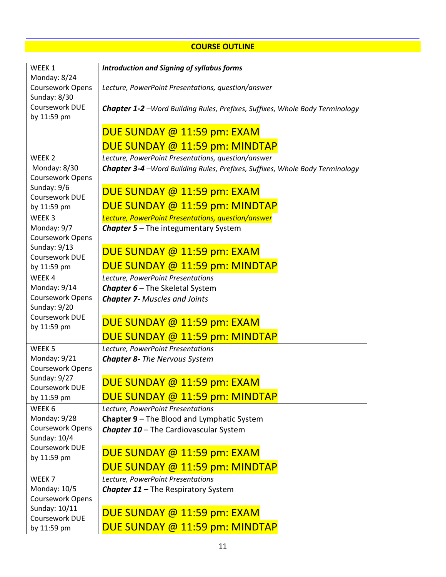# **COURSE OUTLINE**

| WEEK 1                           | <b>Introduction and Signing of syllabus forms</b>                                    |
|----------------------------------|--------------------------------------------------------------------------------------|
| Monday: 8/24                     |                                                                                      |
| Coursework Opens                 | Lecture, PowerPoint Presentations, question/answer                                   |
| Sunday: 8/30                     |                                                                                      |
| Coursework DUE                   | <b>Chapter 1-2</b> - Word Building Rules, Prefixes, Suffixes, Whole Body Terminology |
| by 11:59 pm                      |                                                                                      |
|                                  | DUE SUNDAY @ 11:59 pm: EXAM                                                          |
|                                  | DUE SUNDAY @ 11:59 pm: MINDTAP                                                       |
| WEEK <sub>2</sub>                | Lecture, PowerPoint Presentations, question/answer                                   |
| Monday: 8/30                     | <b>Chapter 3-4</b> - Word Building Rules, Prefixes, Suffixes, Whole Body Terminology |
| Coursework Opens                 |                                                                                      |
| Sunday: 9/6                      | DUE SUNDAY @ 11:59 pm: EXAM                                                          |
| Coursework DUE                   |                                                                                      |
| by 11:59 pm                      | DUE SUNDAY @ 11:59 pm: MINDTAP                                                       |
| WEEK <sub>3</sub>                | Lecture, PowerPoint Presentations, question/answer                                   |
| Monday: 9/7<br>Coursework Opens  | <b>Chapter 5-The integumentary System</b>                                            |
| Sunday: 9/13                     |                                                                                      |
| Coursework DUE                   | DUE SUNDAY @ 11:59 pm: EXAM                                                          |
| by 11:59 pm                      | DUE SUNDAY @ 11:59 pm: MINDTAP                                                       |
| WEEK4                            | Lecture, PowerPoint Presentations                                                    |
| Monday: 9/14                     | Chapter 6 - The Skeletal System                                                      |
| Coursework Opens                 | <b>Chapter 7- Muscles and Joints</b>                                                 |
| Sunday: 9/20                     |                                                                                      |
| Coursework DUE                   | DUE SUNDAY @ 11:59 pm: EXAM                                                          |
| by 11:59 pm                      |                                                                                      |
|                                  | DUE SUNDAY @ 11:59 pm: MINDTAP                                                       |
| WEEK <sub>5</sub>                | Lecture, PowerPoint Presentations                                                    |
| Monday: 9/21<br>Coursework Opens | <b>Chapter 8- The Nervous System</b>                                                 |
| Sunday: 9/27                     |                                                                                      |
| Coursework DUE                   | DUE SUNDAY @ 11:59 pm: EXAM                                                          |
| by 11:59 pm                      | DUE SUNDAY @ 11:59 pm: MINDTAP                                                       |
| WEEK 6                           | Lecture, PowerPoint Presentations                                                    |
| Monday: 9/28                     | Chapter 9 - The Blood and Lymphatic System                                           |
| Coursework Opens                 | Chapter 10 - The Cardiovascular System                                               |
| Sunday: 10/4                     |                                                                                      |
| Coursework DUE<br>by 11:59 pm    | DUE SUNDAY @ 11:59 pm: EXAM                                                          |
|                                  | DUE SUNDAY @ 11:59 pm: MINDTAP                                                       |
| WEEK <sub>7</sub>                | Lecture, PowerPoint Presentations                                                    |
| Monday: 10/5                     | <b>Chapter 11-The Respiratory System</b>                                             |
| Coursework Opens                 |                                                                                      |
| Sunday: 10/11                    | DUE SUNDAY @ 11:59 pm: EXAM                                                          |
| Coursework DUE                   |                                                                                      |
| by 11:59 pm                      | DUE SUNDAY @ 11:59 pm: MINDTAP                                                       |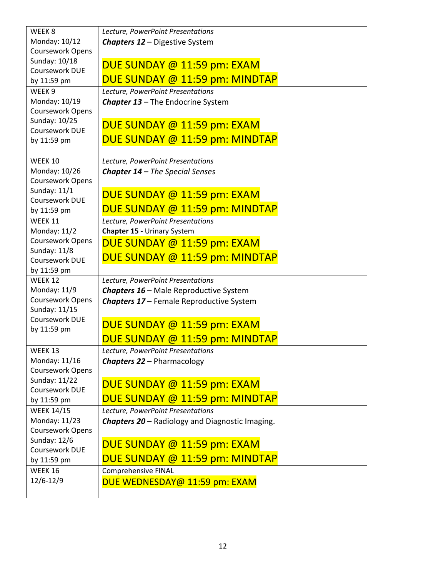| WEEK <sub>8</sub>                | Lecture, PowerPoint Presentations                      |
|----------------------------------|--------------------------------------------------------|
| Monday: 10/12                    | <b>Chapters 12 - Digestive System</b>                  |
| Coursework Opens                 |                                                        |
| Sunday: 10/18                    | DUE SUNDAY @ 11:59 pm: EXAM                            |
| Coursework DUE                   |                                                        |
| by 11:59 pm                      | DUE SUNDAY @ 11:59 pm: MINDTAP                         |
| WEEK <sub>9</sub>                | Lecture, PowerPoint Presentations                      |
| Monday: 10/19                    | <b>Chapter 13 - The Endocrine System</b>               |
| Coursework Opens                 |                                                        |
| Sunday: 10/25<br>Coursework DUE  | DUE SUNDAY @ 11:59 pm: EXAM                            |
| by 11:59 pm                      | DUE SUNDAY @ 11:59 pm: MINDTAP                         |
|                                  |                                                        |
| WEEK 10                          | Lecture, PowerPoint Presentations                      |
| Monday: 10/26                    | <b>Chapter 14 - The Special Senses</b>                 |
| Coursework Opens                 |                                                        |
| Sunday: 11/1                     |                                                        |
| Coursework DUE                   | DUE SUNDAY @ 11:59 pm: EXAM                            |
| by 11:59 pm                      | DUE SUNDAY @ 11:59 pm: MINDTAP                         |
| WEEK 11                          | Lecture, PowerPoint Presentations                      |
| Monday: 11/2                     | Chapter 15 - Urinary System                            |
| Coursework Opens                 | DUE SUNDAY @ 11:59 pm: EXAM                            |
| Sunday: 11/8                     | DUE SUNDAY @ 11:59 pm: MINDTAP                         |
| Coursework DUE                   |                                                        |
| by 11:59 pm<br>WEEK 12           |                                                        |
| Monday: 11/9                     | Lecture, PowerPoint Presentations                      |
| Coursework Opens                 | <b>Chapters 16 - Male Reproductive System</b>          |
| Sunday: 11/15                    | <b>Chapters 17 - Female Reproductive System</b>        |
| Coursework DUE                   |                                                        |
| by 11:59 pm                      | DUE SUNDAY @ 11:59 pm: EXAM                            |
|                                  | DUE SUNDAY @ 11:59 pm: MINDTAP                         |
| WEEK 13                          | Lecture, PowerPoint Presentations                      |
| Monday: 11/16                    | <b>Chapters 22 - Pharmacology</b>                      |
| Coursework Opens                 |                                                        |
| Sunday: 11/22                    | DUE SUNDAY @ 11:59 pm: EXAM                            |
| Coursework DUE                   |                                                        |
| by 11:59 pm                      | DUE SUNDAY @ 11:59 pm: MINDTAP                         |
| <b>WEEK 14/15</b>                | Lecture, PowerPoint Presentations                      |
| Monday: 11/23                    | <b>Chapters 20</b> – Radiology and Diagnostic Imaging. |
| Coursework Opens<br>Sunday: 12/6 |                                                        |
| Coursework DUE                   | DUE SUNDAY @ 11:59 pm: EXAM                            |
| by 11:59 pm                      | DUE SUNDAY @ 11:59 pm: MINDTAP                         |
| WEEK 16                          | <b>Comprehensive FINAL</b>                             |
|                                  |                                                        |
|                                  |                                                        |
| 12/6-12/9                        | DUE WEDNESDAY@ 11:59 pm: EXAM                          |